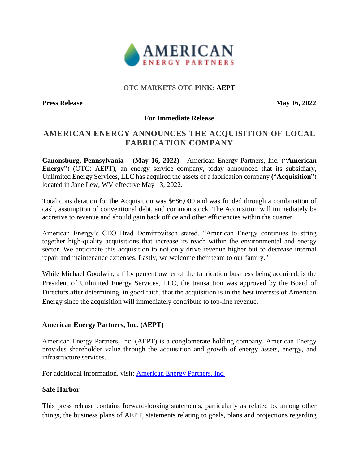

## **OTC MARKETS OTC PINK: AEPT**

**Press Release** May 16, 2022

### **For Immediate Release**

# **AMERICAN ENERGY ANNOUNCES THE ACQUISITION OF LOCAL FABRICATION COMPANY**

**Canonsburg, Pennsylvania – (May 16, 2022)** – American Energy Partners, Inc. ("**American Energy**") (OTC: AEPT), an energy service company, today announced that its subsidiary, Unlimited Energy Services, LLC has acquired the assets of a fabrication company **(**"**Acquisition**") located in Jane Lew, WV effective May 13, 2022.

Total consideration for the Acquisition was \$686,000 and was funded through a combination of cash, assumption of conventional debt, and common stock. The Acquisition will immediately be accretive to revenue and should gain back office and other efficiencies within the quarter.

American Energy's CEO Brad Domitrovitsch stated, "American Energy continues to string together high-quality acquisitions that increase its reach within the environmental and energy sector. We anticipate this acquisition to not only drive revenue higher but to decrease internal repair and maintenance expenses. Lastly, we welcome their team to our family."

While Michael Goodwin, a fifty percent owner of the fabrication business being acquired, is the President of Unlimited Energy Services, LLC, the transaction was approved by the Board of Directors after determining, in good faith, that the acquisition is in the best interests of American Energy since the acquisition will immediately contribute to top-line revenue.

### **American Energy Partners, Inc. (AEPT)**

American Energy Partners, Inc. (AEPT) is a conglomerate holding company. American Energy provides shareholder value through the acquisition and growth of energy assets, energy, and infrastructure services.

For additional information, visit: [American Energy Partners, Inc.](http://americanenergy-inc.com/)

### **Safe Harbor**

This press release contains forward-looking statements, particularly as related to, among other things, the business plans of AEPT, statements relating to goals, plans and projections regarding